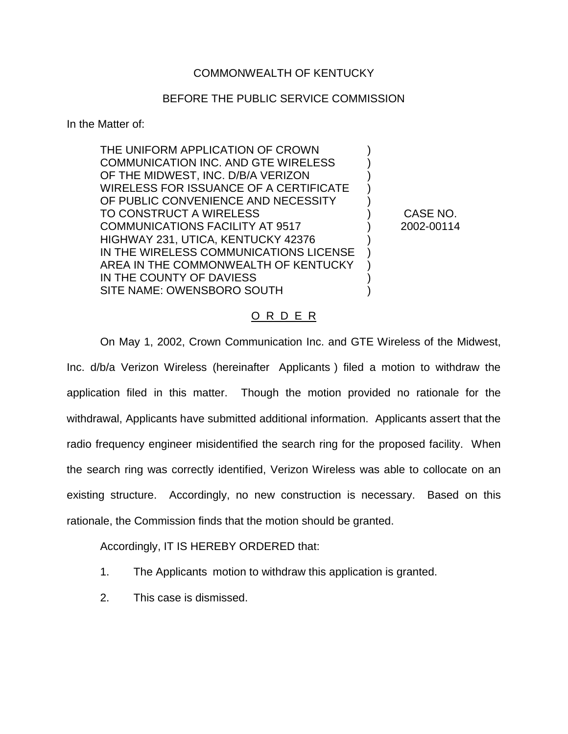## COMMONWEALTH OF KENTUCKY

## BEFORE THE PUBLIC SERVICE COMMISSION

In the Matter of:

THE UNIFORM APPLICATION OF CROWN ) COMMUNICATION INC. AND GTE WIRELESS ) OF THE MIDWEST, INC. D/B/A VERIZON WIRELESS FOR ISSUANCE OF A CERTIFICATE ) OF PUBLIC CONVENIENCE AND NECESSITY TO CONSTRUCT A WIRELESS ) CASE NO. COMMUNICATIONS FACILITY AT 9517 ) 2002-00114 HIGHWAY 231, UTICA, KENTUCKY 42376 ) IN THE WIRELESS COMMUNICATIONS LICENSE ) AREA IN THE COMMONWEALTH OF KENTUCKY ) IN THE COUNTY OF DAVIESS SITE NAME: OWENSBORO SOUTH (1999)

## O R D E R

On May 1, 2002, Crown Communication Inc. and GTE Wireless of the Midwest, Inc. d/b/a Verizon Wireless (hereinafter Applicants ) filed a motion to withdraw the application filed in this matter. Though the motion provided no rationale for the withdrawal, Applicants have submitted additional information. Applicants assert that the radio frequency engineer misidentified the search ring for the proposed facility. When the search ring was correctly identified, Verizon Wireless was able to collocate on an existing structure. Accordingly, no new construction is necessary. Based on this rationale, the Commission finds that the motion should be granted.

Accordingly, IT IS HEREBY ORDERED that:

- 1. The Applicants motion to withdraw this application is granted.
- 2. This case is dismissed.